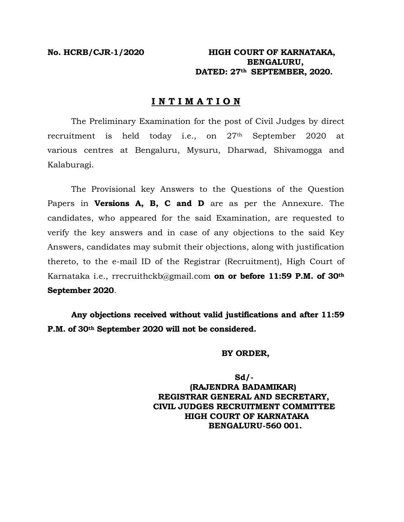### **No. HCRB/CJR-1/2020 HIGH COURT OF KARNATAKA, BENGALURU, DATED: 27th SEPTEMBER, 2020.**

### **I N T I M A T I O N**

The Preliminary Examination for the post of Civil Judges by direct recruitment is held today i.e., on 27th September 2020 at various centres at Bengaluru, Mysuru, Dharwad, Shivamogga and Kalaburagi.

The Provisional key Answers to the Questions of the Question Papers in **Versions A, B, C and D** are as per the Annexure. The candidates, who appeared for the said Examination, are requested to verify the key answers and in case of any objections to the said Key Answers, candidates may submit their objections, along with justification thereto, to the e-mail ID of the Registrar (Recruitment), High Court of Karnataka i.e., rrecruithckb@gmail.com **on or before 11:59 P.M. of 30th September 2020**.

**Any objections received without valid justifications and after 11:59 P.M. of 30th September 2020 will not be considered.** 

#### **BY ORDER,**

 **Sd/- (RAJENDRA BADAMIKAR) REGISTRAR GENERAL AND SECRETARY, CIVIL JUDGES RECRUITMENT COMMITTEE HIGH COURT OF KARNATAKA BENGALURU-560 001.**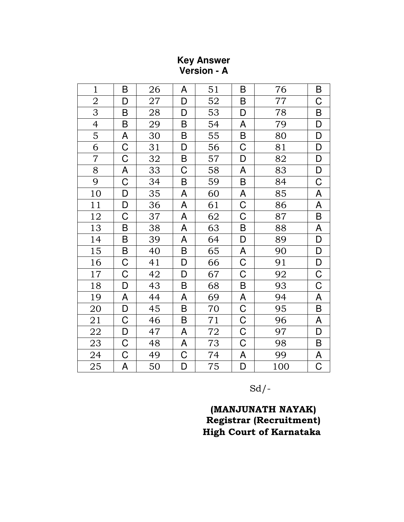## **Key Answer** Version - A

| $\mathbf{1}$   | B           | 26 | A       | 51 | B                         | 76  | B           |
|----------------|-------------|----|---------|----|---------------------------|-----|-------------|
| $\overline{2}$ | D           | 27 | D       | 52 | B                         | 77  | С           |
| 3              | B           | 28 | D       | 53 | D                         | 78  | $\sf B$     |
| $\overline{4}$ | B           | 29 | B       | 54 | A                         | 79  | D           |
| 5              | A           | 30 | $\sf B$ | 55 | B                         | 80  | D           |
| 6              | $\mathsf C$ | 31 | D       | 56 | $\mathsf C$               | 81  | D           |
| $\overline{7}$ | C           | 32 | $\sf B$ | 57 | D                         | 82  | D           |
| $8\,$          | A           | 33 | C       | 58 | A                         | 83  | D           |
| 9              | C           | 34 | B       | 59 | B                         | 84  | C           |
| 10             | D           | 35 | A       | 60 | A                         | 85  | A           |
| 11             | D           | 36 | A       | 61 | $\mathsf C$               | 86  | A           |
| 12             | C           | 37 | A       | 62 | C                         | 87  | B           |
| 13             | B           | 38 | A       | 63 | $\sf B$                   | 88  | A           |
| 14             | B           | 39 | A       | 64 | D                         | 89  | D           |
| 15             | B           | 40 | B       | 65 | $\boldsymbol{\mathsf{A}}$ | 90  | D           |
| 16             | C           | 41 | D       | 66 | C                         | 91  | D           |
| $17\,$         | C           | 42 | D       | 67 | $\mathsf C$               | 92  | $\mathsf C$ |
| 18             | D           | 43 | B       | 68 | $\sf B$                   | 93  | $\mathsf C$ |
| 19             | A           | 44 | A       | 69 | A                         | 94  | A           |
| 20             | D           | 45 | B       | 70 | $\mathsf C$               | 95  | B           |
| 21             | C           | 46 | $\sf B$ | 71 | $\mathsf C$               | 96  | A           |
| 22             | D           | 47 | A       | 72 | $\mathsf C$               | 97  | D           |
| 23             | C           | 48 | A       | 73 | $\mathsf C$               | 98  | B           |
| 24             | C           | 49 | C       | 74 | A                         | 99  | A           |
| 25             | A           | 50 | D       | 75 | D                         | 100 | C           |

 $Sd$  /-

# (MANJUNATH NAYAK) Registrar (Recruitment) **High Court of Karnataka**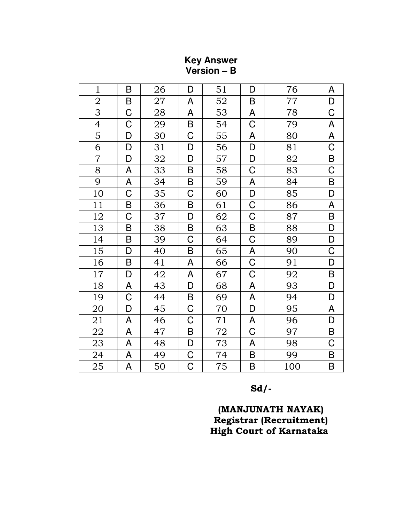| $\mathbf{1}$             | B              | 26 | D                     | 51 | D           | 76  | A                                                                                                           |
|--------------------------|----------------|----|-----------------------|----|-------------|-----|-------------------------------------------------------------------------------------------------------------|
| $\overline{2}$           | B              | 27 | A                     | 52 | $\sf B$     | 77  | D                                                                                                           |
| 3                        | $\mathsf C$    | 28 | A                     | 53 | A           | 78  | $\mathsf C$                                                                                                 |
| $\overline{\mathcal{A}}$ | C              | 29 | $\sf B$               | 54 | $\mathsf C$ | 79  | $\boldsymbol{\mathsf{A}}$                                                                                   |
| 5                        | D              | 30 | $\mathsf C$           | 55 | ${\sf A}$   | 80  | $\mathsf{A}% _{\mathcal{A}}\left( \mathcal{A}_{1}\right) \equiv\mathsf{A}_{1}\left( \mathcal{A}_{2}\right)$ |
| 6                        | D              | 31 | D                     | 56 | D           | 81  | $\mathsf C$                                                                                                 |
| $\overline{7}$           | D              | 32 | D                     | 57 | $\mathsf D$ | 82  | $\sf B$                                                                                                     |
| 8                        | A              | 33 | $\sf B$               | 58 | $\mathsf C$ | 83  | $\overline{C}$                                                                                              |
| 9                        | A              | 34 | $\sf B$               | 59 | A           | 84  | $\sf B$                                                                                                     |
| 10                       | $\mathsf C$    | 35 | $\mathsf C$           | 60 | D           | 85  | D                                                                                                           |
| 11                       | $\sf B$        | 36 | $\sf B$               | 61 | $\mathsf C$ | 86  | $\boldsymbol{\mathsf{A}}$                                                                                   |
| 12                       | $\overline{C}$ | 37 | D                     | 62 | $\mathsf C$ | 87  | $\sf B$                                                                                                     |
| 13                       | $\mathsf B$    | 38 | $\sf B$               | 63 | $\sf B$     | 88  | D                                                                                                           |
| 14                       | $\sf B$        | 39 | $\overline{C}$        | 64 | $\mathsf C$ | 89  | D                                                                                                           |
| 15                       | D              | 40 | $\sf B$               | 65 | A           | 90  | $\mathsf C$                                                                                                 |
| 16                       | $\sf B$        | 41 | A                     | 66 | $\mathsf C$ | 91  | D                                                                                                           |
| 17                       | D              | 42 | A                     | 67 | $\mathsf C$ | 92  | $\sf B$                                                                                                     |
| 18                       | A              | 43 | D                     | 68 | A           | 93  | $\mathsf D$                                                                                                 |
| 19                       | C              | 44 | B                     | 69 | A           | 94  | D                                                                                                           |
| 20                       | D              | 45 | $\mathsf C$           | 70 | D           | 95  | A                                                                                                           |
| 21                       | A              | 46 | $\mathsf C$           | 71 | A           | 96  | D                                                                                                           |
| 22                       | A              | 47 | $\sf B$               | 72 | $\mathsf C$ | 97  | $\sf B$                                                                                                     |
| 23                       | A              | 48 | D                     | 73 | A           | 98  | $\mathsf C$                                                                                                 |
| 24                       | A              | 49 | $\mathsf C$           | 74 | B           | 99  | $\sf B$                                                                                                     |
| 25                       | A              | 50 | $\overline{\text{C}}$ | 75 | $\mathsf B$ | 100 | $\overline{B}$                                                                                              |

**Key Answer<br>Version – B** 

 $Sd$ /-

(MANJUNATH NAYAK) Registrar (Recruitment)<br>High Court of Karnataka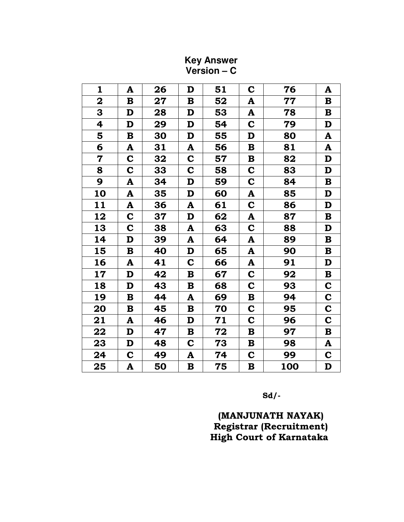| $\mathbf{1}$            | A           | 26         | D               | 51 | $\mathbf C$     | 76  | A               |
|-------------------------|-------------|------------|-----------------|----|-----------------|-----|-----------------|
| $\overline{\mathbf{2}}$ | $\mathbf B$ | ${\bf 27}$ | $\bf{B}$        | 52 | A               | 77  | $\mathbf B$     |
| 3                       | D           | 28         | D               | 53 | A               | 78  | $\mathbf B$     |
| 4                       | D           | 29         | D               | 54 | $\mathbf C$     | 79  | D               |
| 5                       | B           | 30         | D               | 55 | D               | 80  | A               |
| 6                       | A           | 31         | A               | 56 | $\bf{B}$        | 81  | A               |
| $\mathbf 7$             | $\mathbf C$ | 32         | $\mathbf C$     | 57 | B               | 82  | D               |
| 8                       | $\mathbf C$ | 33         | $\mathbf C$     | 58 | $\mathbf C$     | 83  | D               |
| 9                       | A           | 34         | D               | 59 | $\mathbf C$     | 84  | $\bf{B}$        |
| 10                      | A           | 35         | D               | 60 | A               | 85  | D               |
| 11                      | A           | 36         | A               | 61 | $\mathbf C$     | 86  | D               |
| 12                      | $\mathbf C$ | 37         | D               | 62 | A               | 87  | $\mathbf B$     |
| 13                      | $\mathbf C$ | 38         | A               | 63 | $\mathbf C$     | 88  | D               |
| 14                      | D           | 39         | A               | 64 | A               | 89  | $\, {\bf B} \,$ |
| 15                      | $\bf{B}$    | 40         | D               | 65 | A               | 90  | $\bf{B}$        |
| 16                      | A           | 41         | $\mathbf C$     | 66 | A               | 91  | D               |
| 17                      | D           | 42         | $\bf{B}$        | 67 | $\mathbf C$     | 92  | $\bf B$         |
| 18                      | $\mathbf D$ | 43         | $\bf{B}$        | 68 | $\mathbf C$     | 93  | $\mathbf C$     |
| 19                      | $\bf{B}$    | 44         | A               | 69 | $\mathbf B$     | 94  | $\mathbf C$     |
| 20                      | B           | 45         | B               | 70 | $\mathbf C$     | 95  | $\mathbf C$     |
| 21                      | A           | 46         | D               | 71 | $\mathbf C$     | 96  | $\mathbf C$     |
| 22                      | D           | 47         | B               | 72 | $\bf{B}$        | 97  | $\mathbf B$     |
| 23                      | D           | 48         | $\mathbf C$     | 73 | $\bf{B}$        | 98  | A               |
| 24                      | $\mathbf C$ | 49         | A               | 74 | $\mathbf C$     | 99  | C               |
| 25                      | A           | 50         | $\, {\bf B} \,$ | 75 | $\, {\bf B} \,$ | 100 | D               |

**Key Answer<br>Version – C** 

 $Sd$ /-

(MANJUNATH NAYAK)<br>Registrar (Recruitment) High Court of Karnataka